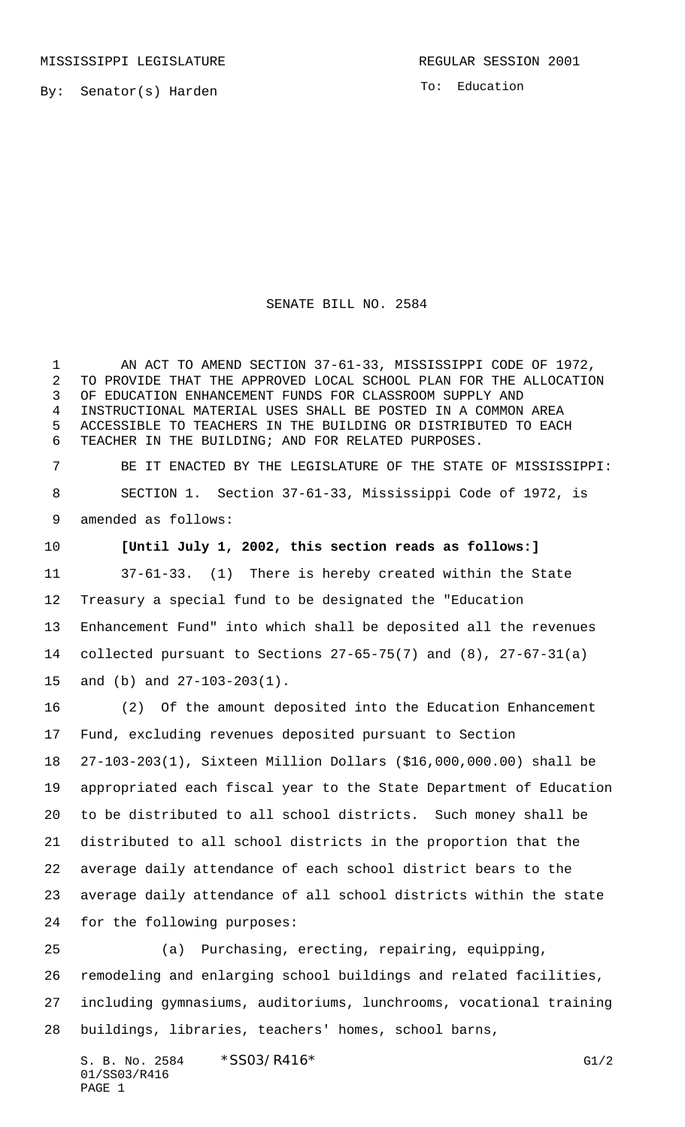By: Senator(s) Harden

To: Education

## SENATE BILL NO. 2584

 AN ACT TO AMEND SECTION 37-61-33, MISSISSIPPI CODE OF 1972, TO PROVIDE THAT THE APPROVED LOCAL SCHOOL PLAN FOR THE ALLOCATION OF EDUCATION ENHANCEMENT FUNDS FOR CLASSROOM SUPPLY AND INSTRUCTIONAL MATERIAL USES SHALL BE POSTED IN A COMMON AREA ACCESSIBLE TO TEACHERS IN THE BUILDING OR DISTRIBUTED TO EACH TEACHER IN THE BUILDING; AND FOR RELATED PURPOSES.

 BE IT ENACTED BY THE LEGISLATURE OF THE STATE OF MISSISSIPPI: SECTION 1. Section 37-61-33, Mississippi Code of 1972, is amended as follows:

**[Until July 1, 2002, this section reads as follows:]**

 37-61-33. (1) There is hereby created within the State Treasury a special fund to be designated the "Education Enhancement Fund" into which shall be deposited all the revenues collected pursuant to Sections 27-65-75(7) and (8), 27-67-31(a) and (b) and 27-103-203(1).

 (2) Of the amount deposited into the Education Enhancement Fund, excluding revenues deposited pursuant to Section 27-103-203(1), Sixteen Million Dollars (\$16,000,000.00) shall be appropriated each fiscal year to the State Department of Education to be distributed to all school districts. Such money shall be distributed to all school districts in the proportion that the average daily attendance of each school district bears to the average daily attendance of all school districts within the state for the following purposes:

 (a) Purchasing, erecting, repairing, equipping, remodeling and enlarging school buildings and related facilities, including gymnasiums, auditoriums, lunchrooms, vocational training buildings, libraries, teachers' homes, school barns,

S. B. No. 2584 \* SSO3/R416\* G1/2 01/SS03/R416 PAGE 1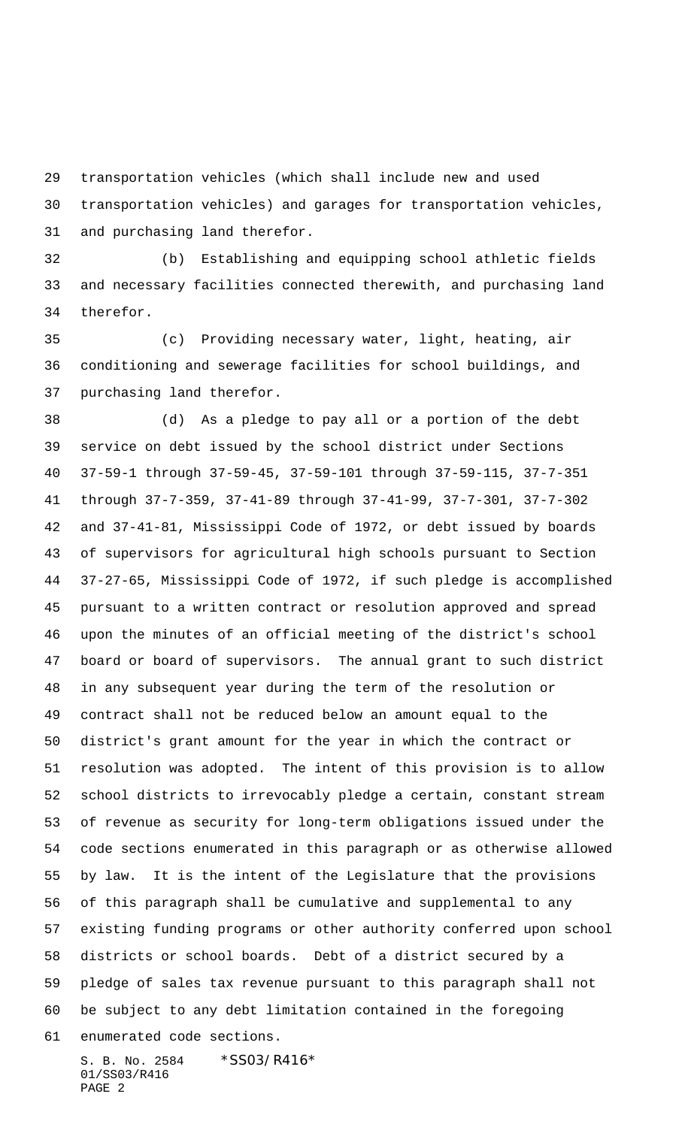transportation vehicles (which shall include new and used

transportation vehicles) and garages for transportation vehicles,

and purchasing land therefor.

 (b) Establishing and equipping school athletic fields and necessary facilities connected therewith, and purchasing land therefor.

 (c) Providing necessary water, light, heating, air conditioning and sewerage facilities for school buildings, and purchasing land therefor.

 (d) As a pledge to pay all or a portion of the debt service on debt issued by the school district under Sections 37-59-1 through 37-59-45, 37-59-101 through 37-59-115, 37-7-351 through 37-7-359, 37-41-89 through 37-41-99, 37-7-301, 37-7-302 and 37-41-81, Mississippi Code of 1972, or debt issued by boards of supervisors for agricultural high schools pursuant to Section 37-27-65, Mississippi Code of 1972, if such pledge is accomplished pursuant to a written contract or resolution approved and spread upon the minutes of an official meeting of the district's school board or board of supervisors. The annual grant to such district in any subsequent year during the term of the resolution or contract shall not be reduced below an amount equal to the district's grant amount for the year in which the contract or resolution was adopted. The intent of this provision is to allow school districts to irrevocably pledge a certain, constant stream of revenue as security for long-term obligations issued under the code sections enumerated in this paragraph or as otherwise allowed by law. It is the intent of the Legislature that the provisions of this paragraph shall be cumulative and supplemental to any existing funding programs or other authority conferred upon school districts or school boards. Debt of a district secured by a pledge of sales tax revenue pursuant to this paragraph shall not be subject to any debt limitation contained in the foregoing enumerated code sections.

S. B. No. 2584 \*SS03/R416\* 01/SS03/R416 PAGE 2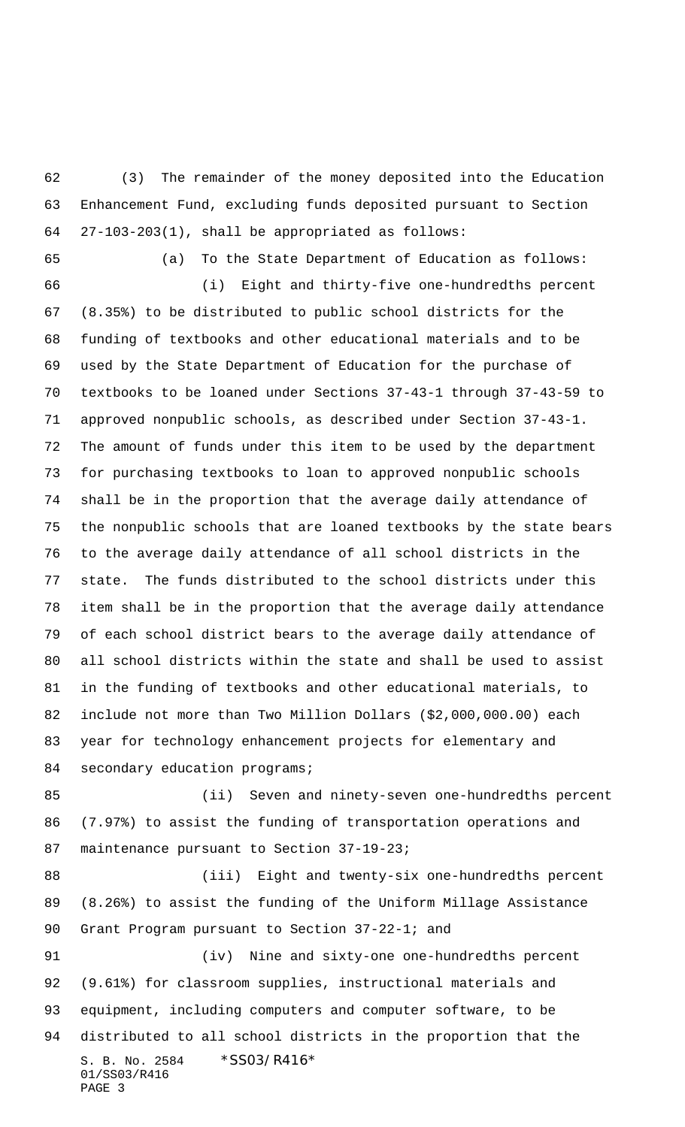(3) The remainder of the money deposited into the Education Enhancement Fund, excluding funds deposited pursuant to Section 27-103-203(1), shall be appropriated as follows:

(a) To the State Department of Education as follows:

 (i) Eight and thirty-five one-hundredths percent (8.35%) to be distributed to public school districts for the funding of textbooks and other educational materials and to be used by the State Department of Education for the purchase of textbooks to be loaned under Sections 37-43-1 through 37-43-59 to approved nonpublic schools, as described under Section 37-43-1. The amount of funds under this item to be used by the department for purchasing textbooks to loan to approved nonpublic schools shall be in the proportion that the average daily attendance of the nonpublic schools that are loaned textbooks by the state bears to the average daily attendance of all school districts in the state. The funds distributed to the school districts under this item shall be in the proportion that the average daily attendance of each school district bears to the average daily attendance of all school districts within the state and shall be used to assist in the funding of textbooks and other educational materials, to include not more than Two Million Dollars (\$2,000,000.00) each year for technology enhancement projects for elementary and 84 secondary education programs;

 (ii) Seven and ninety-seven one-hundredths percent (7.97%) to assist the funding of transportation operations and 87 maintenance pursuant to Section 37-19-23;

 (iii) Eight and twenty-six one-hundredths percent (8.26%) to assist the funding of the Uniform Millage Assistance Grant Program pursuant to Section 37-22-1; and

S. B. No. 2584 \* SS03/R416\* 01/SS03/R416 PAGE 3 (iv) Nine and sixty-one one-hundredths percent (9.61%) for classroom supplies, instructional materials and equipment, including computers and computer software, to be distributed to all school districts in the proportion that the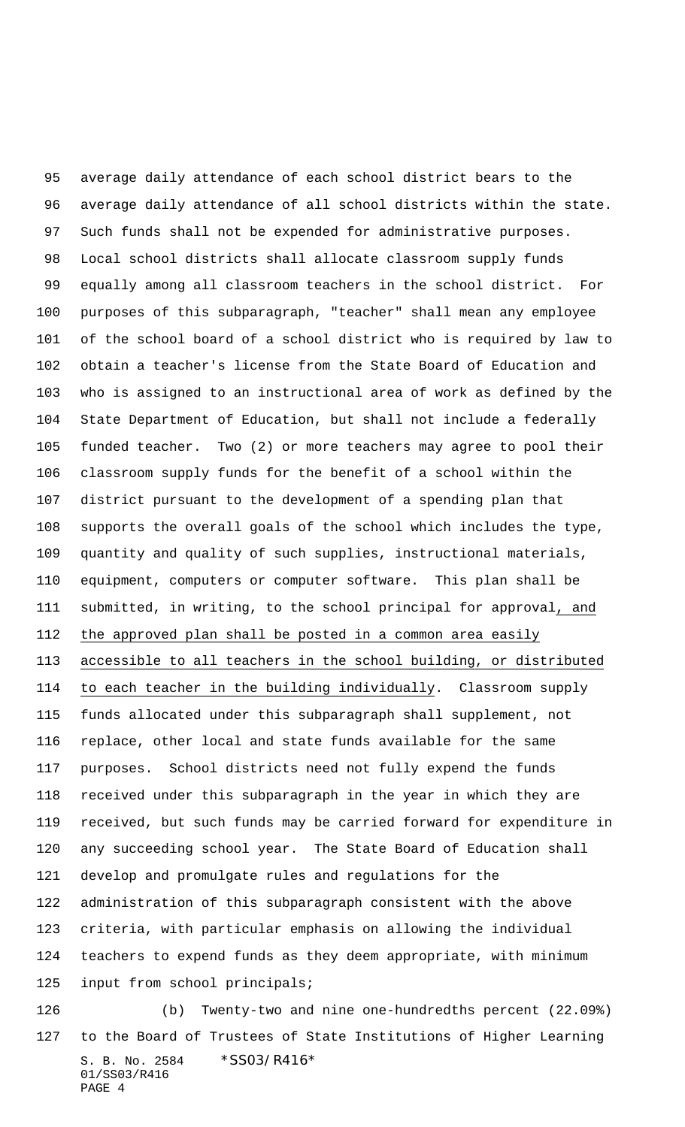average daily attendance of each school district bears to the average daily attendance of all school districts within the state. Such funds shall not be expended for administrative purposes. Local school districts shall allocate classroom supply funds equally among all classroom teachers in the school district. For purposes of this subparagraph, "teacher" shall mean any employee of the school board of a school district who is required by law to obtain a teacher's license from the State Board of Education and who is assigned to an instructional area of work as defined by the State Department of Education, but shall not include a federally funded teacher. Two (2) or more teachers may agree to pool their classroom supply funds for the benefit of a school within the district pursuant to the development of a spending plan that supports the overall goals of the school which includes the type, quantity and quality of such supplies, instructional materials, equipment, computers or computer software. This plan shall be submitted, in writing, to the school principal for approval, and 112 the approved plan shall be posted in a common area easily accessible to all teachers in the school building, or distributed to each teacher in the building individually. Classroom supply funds allocated under this subparagraph shall supplement, not replace, other local and state funds available for the same purposes. School districts need not fully expend the funds received under this subparagraph in the year in which they are received, but such funds may be carried forward for expenditure in any succeeding school year. The State Board of Education shall develop and promulgate rules and regulations for the administration of this subparagraph consistent with the above criteria, with particular emphasis on allowing the individual teachers to expend funds as they deem appropriate, with minimum input from school principals; (b) Twenty-two and nine one-hundredths percent (22.09%)

S. B. No. 2584 \* SS03/R416\* 01/SS03/R416 PAGE 4 to the Board of Trustees of State Institutions of Higher Learning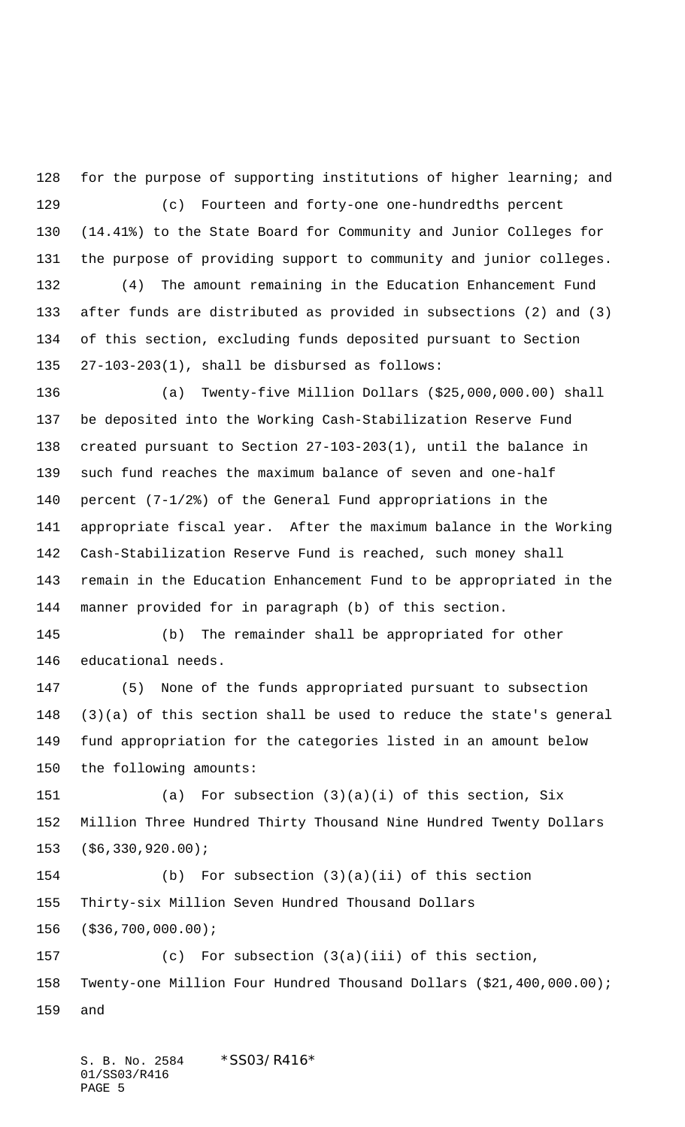for the purpose of supporting institutions of higher learning; and (c) Fourteen and forty-one one-hundredths percent (14.41%) to the State Board for Community and Junior Colleges for the purpose of providing support to community and junior colleges.

 (4) The amount remaining in the Education Enhancement Fund after funds are distributed as provided in subsections (2) and (3) of this section, excluding funds deposited pursuant to Section 27-103-203(1), shall be disbursed as follows:

 (a) Twenty-five Million Dollars (\$25,000,000.00) shall be deposited into the Working Cash-Stabilization Reserve Fund created pursuant to Section 27-103-203(1), until the balance in such fund reaches the maximum balance of seven and one-half percent (7-1/2%) of the General Fund appropriations in the appropriate fiscal year. After the maximum balance in the Working Cash-Stabilization Reserve Fund is reached, such money shall remain in the Education Enhancement Fund to be appropriated in the manner provided for in paragraph (b) of this section.

 (b) The remainder shall be appropriated for other educational needs.

 (5) None of the funds appropriated pursuant to subsection (3)(a) of this section shall be used to reduce the state's general fund appropriation for the categories listed in an amount below the following amounts:

 (a) For subsection (3)(a)(i) of this section, Six Million Three Hundred Thirty Thousand Nine Hundred Twenty Dollars (\$6,330,920.00);

 (b) For subsection (3)(a)(ii) of this section Thirty-six Million Seven Hundred Thousand Dollars (\$36,700,000.00);

 (c) For subsection (3(a)(iii) of this section, Twenty-one Million Four Hundred Thousand Dollars (\$21,400,000.00); and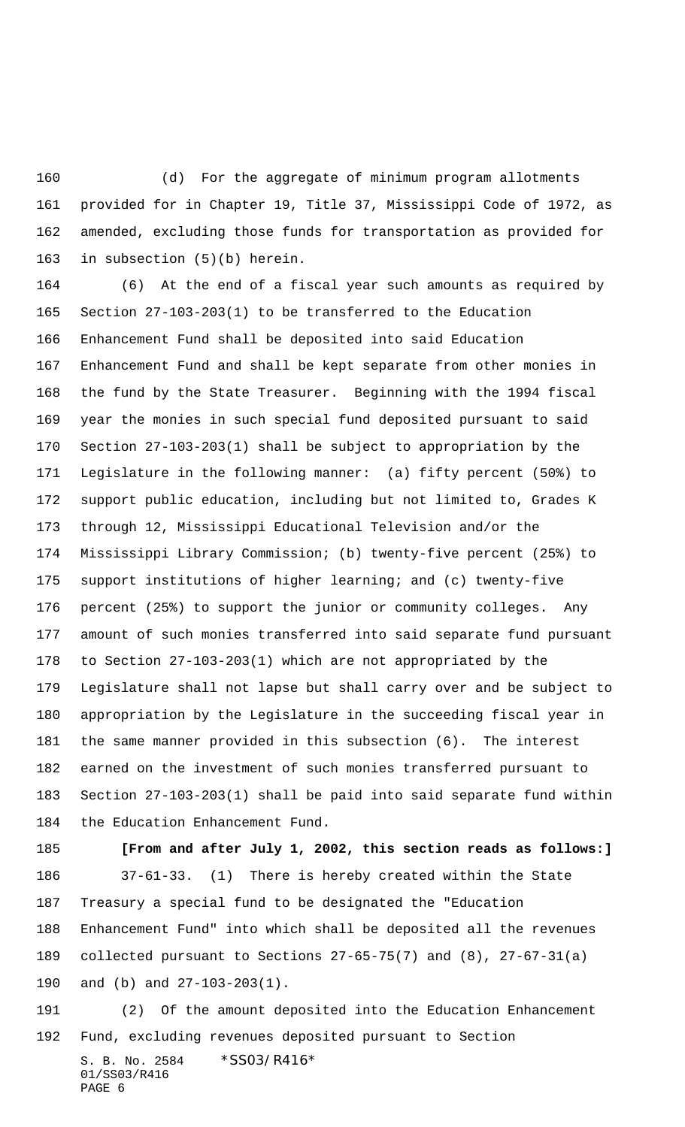(d) For the aggregate of minimum program allotments provided for in Chapter 19, Title 37, Mississippi Code of 1972, as amended, excluding those funds for transportation as provided for in subsection (5)(b) herein.

 (6) At the end of a fiscal year such amounts as required by Section 27-103-203(1) to be transferred to the Education Enhancement Fund shall be deposited into said Education Enhancement Fund and shall be kept separate from other monies in the fund by the State Treasurer. Beginning with the 1994 fiscal year the monies in such special fund deposited pursuant to said Section 27-103-203(1) shall be subject to appropriation by the Legislature in the following manner: (a) fifty percent (50%) to support public education, including but not limited to, Grades K through 12, Mississippi Educational Television and/or the Mississippi Library Commission; (b) twenty-five percent (25%) to support institutions of higher learning; and (c) twenty-five percent (25%) to support the junior or community colleges. Any amount of such monies transferred into said separate fund pursuant to Section 27-103-203(1) which are not appropriated by the Legislature shall not lapse but shall carry over and be subject to appropriation by the Legislature in the succeeding fiscal year in the same manner provided in this subsection (6). The interest earned on the investment of such monies transferred pursuant to Section 27-103-203(1) shall be paid into said separate fund within the Education Enhancement Fund.

 **[From and after July 1, 2002, this section reads as follows:]** 37-61-33. (1) There is hereby created within the State Treasury a special fund to be designated the "Education Enhancement Fund" into which shall be deposited all the revenues collected pursuant to Sections 27-65-75(7) and (8), 27-67-31(a) and (b) and 27-103-203(1).

 (2) Of the amount deposited into the Education Enhancement Fund, excluding revenues deposited pursuant to Section

S. B. No. 2584 \* SS03/R416\* 01/SS03/R416 PAGE 6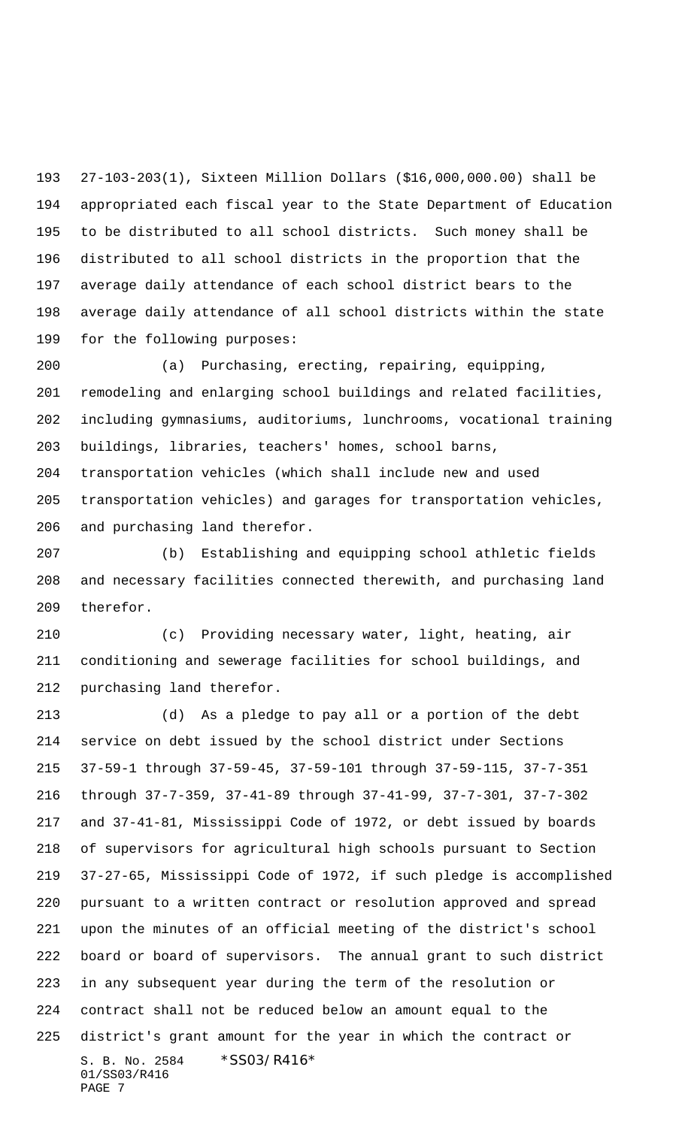27-103-203(1), Sixteen Million Dollars (\$16,000,000.00) shall be appropriated each fiscal year to the State Department of Education to be distributed to all school districts. Such money shall be distributed to all school districts in the proportion that the average daily attendance of each school district bears to the average daily attendance of all school districts within the state for the following purposes:

 (a) Purchasing, erecting, repairing, equipping, remodeling and enlarging school buildings and related facilities, including gymnasiums, auditoriums, lunchrooms, vocational training buildings, libraries, teachers' homes, school barns, transportation vehicles (which shall include new and used transportation vehicles) and garages for transportation vehicles, and purchasing land therefor.

 (b) Establishing and equipping school athletic fields and necessary facilities connected therewith, and purchasing land therefor.

 (c) Providing necessary water, light, heating, air conditioning and sewerage facilities for school buildings, and purchasing land therefor.

S. B. No. 2584 \*SS03/R416\* 01/SS03/R416 (d) As a pledge to pay all or a portion of the debt service on debt issued by the school district under Sections 37-59-1 through 37-59-45, 37-59-101 through 37-59-115, 37-7-351 through 37-7-359, 37-41-89 through 37-41-99, 37-7-301, 37-7-302 and 37-41-81, Mississippi Code of 1972, or debt issued by boards of supervisors for agricultural high schools pursuant to Section 37-27-65, Mississippi Code of 1972, if such pledge is accomplished pursuant to a written contract or resolution approved and spread upon the minutes of an official meeting of the district's school board or board of supervisors. The annual grant to such district in any subsequent year during the term of the resolution or contract shall not be reduced below an amount equal to the district's grant amount for the year in which the contract or

PAGE 7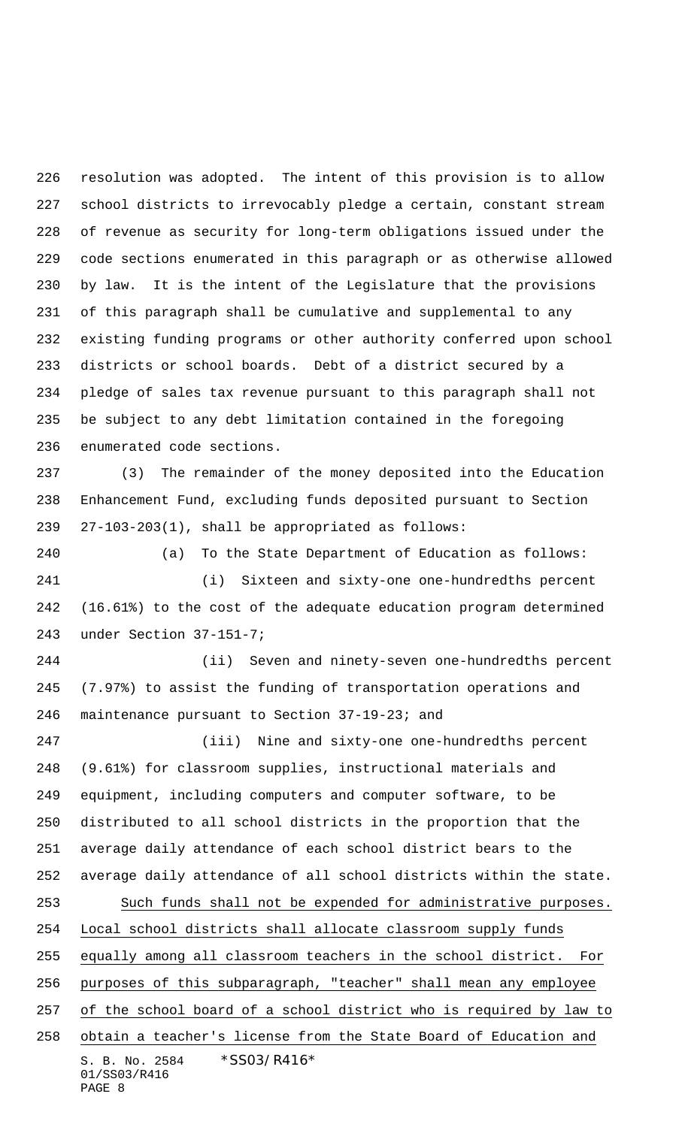resolution was adopted. The intent of this provision is to allow school districts to irrevocably pledge a certain, constant stream of revenue as security for long-term obligations issued under the code sections enumerated in this paragraph or as otherwise allowed by law. It is the intent of the Legislature that the provisions of this paragraph shall be cumulative and supplemental to any existing funding programs or other authority conferred upon school districts or school boards. Debt of a district secured by a pledge of sales tax revenue pursuant to this paragraph shall not be subject to any debt limitation contained in the foregoing enumerated code sections.

 (3) The remainder of the money deposited into the Education Enhancement Fund, excluding funds deposited pursuant to Section 27-103-203(1), shall be appropriated as follows:

 (a) To the State Department of Education as follows: (i) Sixteen and sixty-one one-hundredths percent (16.61%) to the cost of the adequate education program determined under Section 37-151-7;

 (ii) Seven and ninety-seven one-hundredths percent (7.97%) to assist the funding of transportation operations and maintenance pursuant to Section 37-19-23; and

S. B. No. 2584 \* SS03/R416\* 01/SS03/R416 PAGE 8 (iii) Nine and sixty-one one-hundredths percent (9.61%) for classroom supplies, instructional materials and equipment, including computers and computer software, to be distributed to all school districts in the proportion that the average daily attendance of each school district bears to the average daily attendance of all school districts within the state. Such funds shall not be expended for administrative purposes. Local school districts shall allocate classroom supply funds equally among all classroom teachers in the school district. For purposes of this subparagraph, "teacher" shall mean any employee of the school board of a school district who is required by law to obtain a teacher's license from the State Board of Education and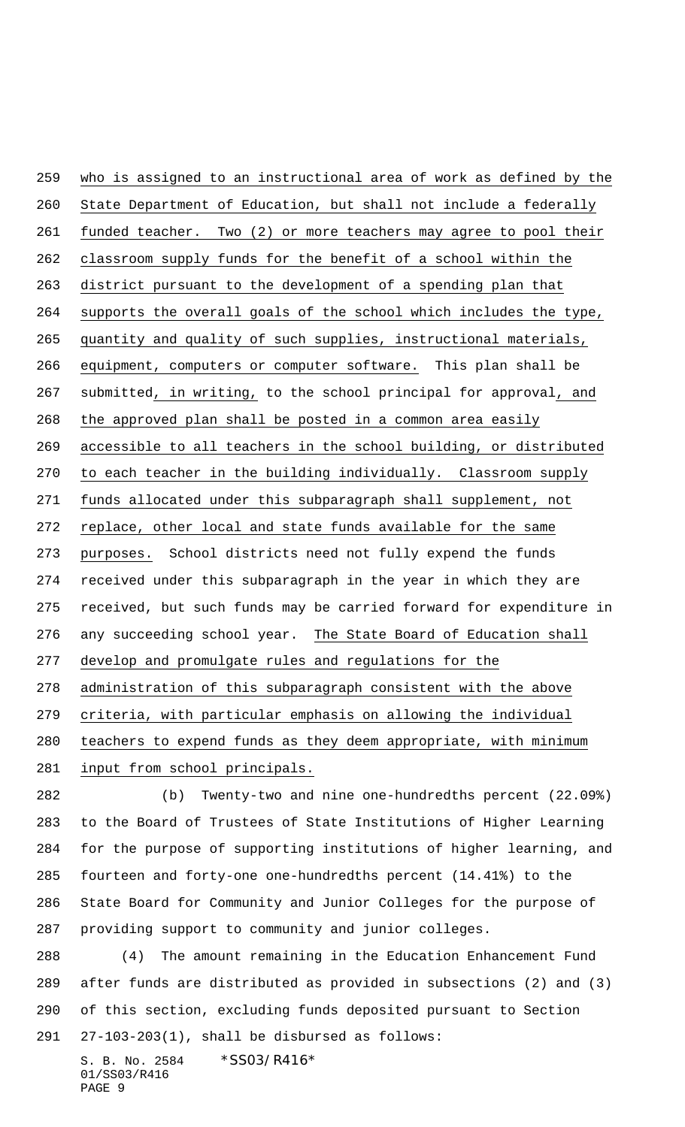who is assigned to an instructional area of work as defined by the State Department of Education, but shall not include a federally funded teacher. Two (2) or more teachers may agree to pool their classroom supply funds for the benefit of a school within the district pursuant to the development of a spending plan that supports the overall goals of the school which includes the type, quantity and quality of such supplies, instructional materials, equipment, computers or computer software. This plan shall be submitted, in writing, to the school principal for approval, and the approved plan shall be posted in a common area easily accessible to all teachers in the school building, or distributed to each teacher in the building individually. Classroom supply funds allocated under this subparagraph shall supplement, not replace, other local and state funds available for the same purposes. School districts need not fully expend the funds received under this subparagraph in the year in which they are received, but such funds may be carried forward for expenditure in any succeeding school year. The State Board of Education shall develop and promulgate rules and regulations for the administration of this subparagraph consistent with the above criteria, with particular emphasis on allowing the individual teachers to expend funds as they deem appropriate, with minimum input from school principals.

 (b) Twenty-two and nine one-hundredths percent (22.09%) to the Board of Trustees of State Institutions of Higher Learning for the purpose of supporting institutions of higher learning, and fourteen and forty-one one-hundredths percent (14.41%) to the State Board for Community and Junior Colleges for the purpose of providing support to community and junior colleges.

 (4) The amount remaining in the Education Enhancement Fund after funds are distributed as provided in subsections (2) and (3) of this section, excluding funds deposited pursuant to Section 27-103-203(1), shall be disbursed as follows:

S. B. No. 2584 \* SS03/R416\* 01/SS03/R416 PAGE 9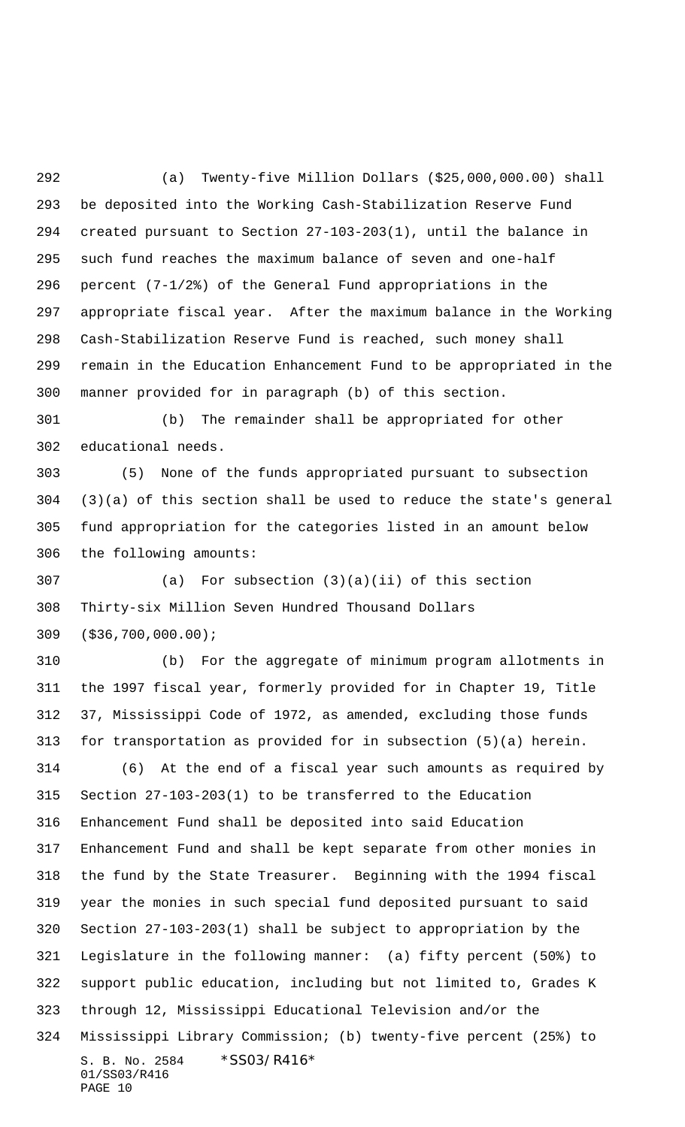(a) Twenty-five Million Dollars (\$25,000,000.00) shall be deposited into the Working Cash-Stabilization Reserve Fund created pursuant to Section 27-103-203(1), until the balance in such fund reaches the maximum balance of seven and one-half percent (7-1/2%) of the General Fund appropriations in the appropriate fiscal year. After the maximum balance in the Working Cash-Stabilization Reserve Fund is reached, such money shall remain in the Education Enhancement Fund to be appropriated in the manner provided for in paragraph (b) of this section.

 (b) The remainder shall be appropriated for other educational needs.

 (5) None of the funds appropriated pursuant to subsection (3)(a) of this section shall be used to reduce the state's general fund appropriation for the categories listed in an amount below the following amounts:

 (a) For subsection (3)(a)(ii) of this section Thirty-six Million Seven Hundred Thousand Dollars (\$36,700,000.00);

 (b) For the aggregate of minimum program allotments in the 1997 fiscal year, formerly provided for in Chapter 19, Title 37, Mississippi Code of 1972, as amended, excluding those funds for transportation as provided for in subsection (5)(a) herein. (6) At the end of a fiscal year such amounts as required by Section 27-103-203(1) to be transferred to the Education

S. B. No. 2584 \* SS03/R416\* 01/SS03/R416 PAGE 10 Enhancement Fund shall be deposited into said Education Enhancement Fund and shall be kept separate from other monies in the fund by the State Treasurer. Beginning with the 1994 fiscal year the monies in such special fund deposited pursuant to said Section 27-103-203(1) shall be subject to appropriation by the Legislature in the following manner: (a) fifty percent (50%) to support public education, including but not limited to, Grades K through 12, Mississippi Educational Television and/or the Mississippi Library Commission; (b) twenty-five percent (25%) to